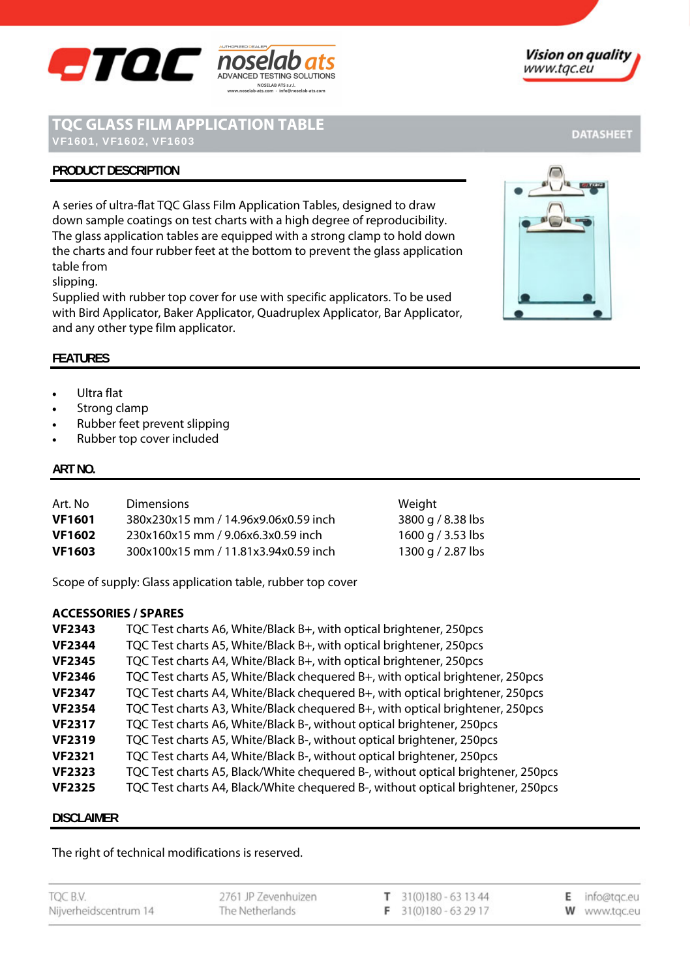

# **TQC GLASS FILM APPLICATION TABLE**

## **PRODUCT DESCRIPTION**

A series of ultra-flat TQC Glass Film Application Tables, designed to draw down sample coatings on test charts with a high degree of reproducibility. The glass application tables are equipped with a strong clamp to hold down the charts and four rubber feet at the bottom to prevent the glass application table from

NOSELAB ATS s.r.l.

slipping.

Supplied with rubber top cover for use with specific applicators. To be used with Bird Applicator, Baker Applicator, Quadruplex Applicator, Bar Applicator, and any other type film applicator.

### **FEATURES**

- Ultra flat
- Strong clamp
- Rubber feet prevent slipping
- Rubber top cover included

#### **ART NO.**

| Art. No       | <b>Dimensions</b>                    | Weight            |
|---------------|--------------------------------------|-------------------|
| <b>VF1601</b> | 380x230x15 mm / 14.96x9.06x0.59 inch | 3800 g / 8.38 lbs |
| <b>VF1602</b> | 230x160x15 mm / 9.06x6.3x0.59 inch   | 1600 g / 3.53 lbs |
| <b>VF1603</b> | 300x100x15 mm / 11.81x3.94x0.59 inch | 1300 g / 2.87 lbs |

Scope of supply: Glass application table, rubber top cover

#### **ACCESSORIES / SPARES**

| <b>VF2343</b> | TQC Test charts A6, White/Black B+, with optical brightener, 250pcs              |
|---------------|----------------------------------------------------------------------------------|
| <b>VF2344</b> | TQC Test charts A5, White/Black B+, with optical brightener, 250pcs              |
| <b>VF2345</b> | TQC Test charts A4, White/Black B+, with optical brightener, 250pcs              |
| <b>VF2346</b> | TQC Test charts A5, White/Black chequered B+, with optical brightener, 250pcs    |
| <b>VF2347</b> | TQC Test charts A4, White/Black chequered B+, with optical brightener, 250pcs    |
| <b>VF2354</b> | TQC Test charts A3, White/Black chequered B+, with optical brightener, 250pcs    |
| <b>VF2317</b> | TQC Test charts A6, White/Black B-, without optical brightener, 250pcs           |
| <b>VF2319</b> | TQC Test charts A5, White/Black B-, without optical brightener, 250pcs           |
| <b>VF2321</b> | TQC Test charts A4, White/Black B-, without optical brightener, 250pcs           |
| <b>VF2323</b> | TQC Test charts A5, Black/White chequered B-, without optical brightener, 250pcs |
| <b>VF2325</b> | TQC Test charts A4, Black/White chequered B-, without optical brightener, 250pcs |

#### **DISCLAIMER**

The right of technical modifications is reserved.

TQC B.V. 2761 JP Zevenhuizen  $T = 31(0)180 - 631344$ E info@tgc.eu The Netherlands F 31(0)180 - 63 29 17 Nijverheidscentrum 14 W www.tqc.eu



## **DATASHEET**